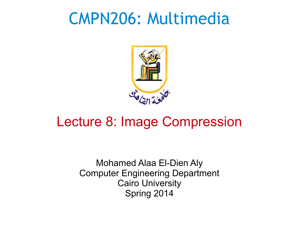#### CMPN206: Multimedia



#### Lecture 8: Image Compression

Mohamed Alaa El-Dien Aly Computer Engineering Department Cairo University Spring 2014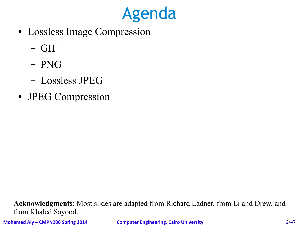

- Lossless Image Compression
	- GIF
	- PNG
	- Lossless JPEG
- JPEG Compression

**Acknowledgments**: Most slides are adapted from Richard Ladner, from Li and Drew, and from Khaled Sayood.

**Mohamed Aly – CMPN206 Spring 2014 Computer Engineering, Cairo University 2/47**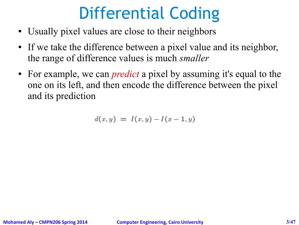## Differential Coding

- Usually pixel values are close to their neighbors
- If we take the difference between a pixel value and its neighbor, the range of difference values is much *smaller*
- For example, we can *predict* a pixel by assuming it's equal to the one on its left, and then encode the difference between the pixel and its prediction

$$
d(x,y) = I(x,y) - I(x-1,y)
$$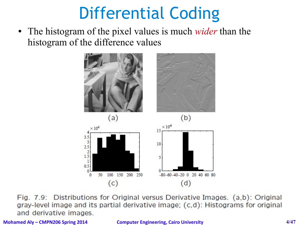## Differential Coding

● The histogram of the pixel values is much *wider* than the histogram of the difference values



Fig. 7.9: Distributions for Original versus Derivative Images. (a,b): Original gray-level image and its partial derivative image; (c,d): Histograms for original and derivative images.

**Mohamed Aly – CMPN206 Spring 2014 Computer Engineering, Cairo University 4/47**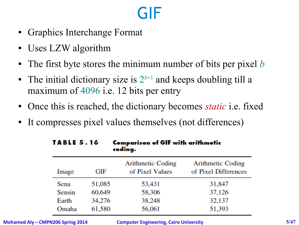## GIF

- Graphics Interchange Format
- Uses LZW algorithm
- The first byte stores the minimum number of bits per pixel *b*
- The initial dictionary size is  $2^{b+1}$  and keeps doubling till a maximum of 4096 i.e. 12 bits per entry
- Once this is reached, the dictionary becomes *static* i.e. fixed
- It compresses pixel values themselves (not differences)

| <b>TABLE 5.16</b> |        | <b>Comparison of GIF with arithmetic</b><br>coding. |                                           |  |  |  |
|-------------------|--------|-----------------------------------------------------|-------------------------------------------|--|--|--|
| Image             | GIF    | <b>Arithmetic Coding</b><br>of Pixel Values         | Arithmetic Coding<br>of Pixel Differences |  |  |  |
| Sena              | 51,085 | 53,431                                              | 31,847                                    |  |  |  |
| Sensin            | 60,649 | 58,306                                              | 37,126                                    |  |  |  |
| Earth             | 34,276 | 38,248                                              | 32,137                                    |  |  |  |
| Omaha             | 61,580 | 56,061                                              | 51,393                                    |  |  |  |

**Mohamed Aly – CMPN206 Spring 2014 Computer Engineering, Cairo University 5/47**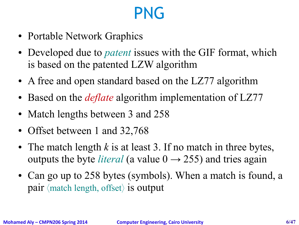- Portable Network Graphics
- Developed due to *patent* issues with the GIF format, which is based on the patented LZW algorithm
- A free and open standard based on the LZ77 algorithm
- Based on the *deflate* algorithm implementation of LZ77
- Match lengths between 3 and 258
- Offset between 1 and 32,768
- The match length  $k$  is at least 3. If no match in three bytes, outputs the byte *literal* (a value  $0 \rightarrow 255$ ) and tries again
- Can go up to 258 bytes (symbols). When a match is found, a pair  $\langle$  match length, offset $\rangle$  is output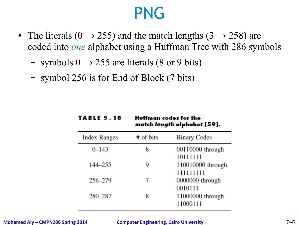- The literals (0  $\rightarrow$  255) and the match lengths (3  $\rightarrow$  258) are coded into *one* alphabet using a Huffman Tree with 286 symbols
	- symbols  $0 \rightarrow 255$  are literals (8 or 9 bits)
	- symbol 256 is for End of Block (7 bits)

**TABLE 5.18** 

|                     |           | <i>march rengm</i> alphabel [97]: |
|---------------------|-----------|-----------------------------------|
| <b>Index Ranges</b> | # of bits | <b>Binary Codes</b>               |
| $0 - 143$           | 8         | 00110000 through<br>10111111      |
| 144–255             | 9         | 110010000 through<br>111111111    |
| 256-279             |           | 0000000 through<br>0010111        |
| 280-287             | 8         | 11000000 through<br>11000111      |

Huffman codes for the

**Low and Contractors CEAT**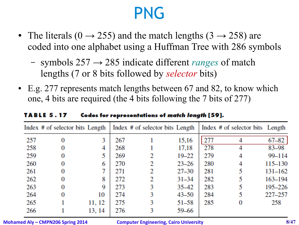- The literals (0  $\rightarrow$  255) and the match lengths (3  $\rightarrow$  258) are coded into one alphabet using a Huffman Tree with 286 symbols
	- symbols 257 → 285 indicate different *ranges* of match lengths (7 or 8 bits followed by *selector* bits)
- E.g. 277 represents match lengths between 67 and 82, to know which one, 4 bits are required (the 4 bits following the 7 bits of 277)

|     | Index # of selector bits Length |        |     | Index # of selector bits Length |           |     | Index # of selector bits Length |           |
|-----|---------------------------------|--------|-----|---------------------------------|-----------|-----|---------------------------------|-----------|
| 257 | 0                               | 3      | 267 |                                 | 15,16     | 277 |                                 | $67 - 82$ |
| 258 |                                 | 4      | 268 |                                 | 17,18     | 278 |                                 | 83-98     |
| 259 | 0                               |        | 269 | 2                               | $19 - 22$ | 279 |                                 | 99-114    |
| 260 | 0                               | 6      | 270 | 2                               | $23 - 26$ | 280 | 4                               | 115-130   |
| 261 | 0                               |        | 271 | 2                               | $27 - 30$ | 281 |                                 | 131-162   |
| 262 | 0                               | 8      | 272 | 2                               | $31 - 34$ | 282 |                                 | 163-194   |
| 263 | 0                               | 9      | 273 | 3                               | $35 - 42$ | 283 |                                 | 195-226   |
| 264 | 0                               | 10     | 274 | 3                               | $43 - 50$ | 284 |                                 | 227-257   |
| 265 |                                 | 11, 12 | 275 | 3                               | $51 - 58$ | 285 |                                 | 258       |
| 266 |                                 | 13, 14 | 276 | 3                               | 59–66     |     |                                 |           |
|     |                                 |        |     |                                 |           |     |                                 |           |

**TABLE 5.17** Codes for representations of match length [59].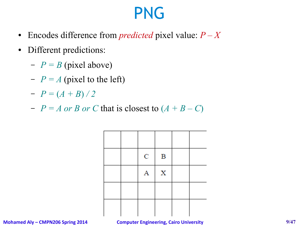- Encodes difference from *predicted* pixel value:  $P X$
- Different predictions:
	- $-P = B$  (pixel above)
	- $-P = A$  (pixel to the left)
	- $-P = (A + B)/2$
	- $-P = A$  or B or C that is closest to  $(A + B C)$

|  | ${\bf C}$ | $\mathbf B$ |  |
|--|-----------|-------------|--|
|  | Α         | $\mathbf X$ |  |
|  |           |             |  |
|  |           |             |  |

**Mohamed Aly – CMPN206 Spring 2014 Computer Engineering, Cairo University 9/47**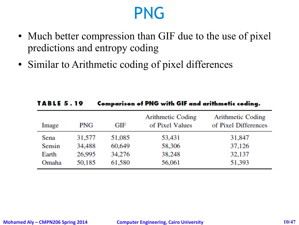- Much better compression than GIF due to the use of pixel predictions and entropy coding
- Similar to Arithmetic coding of pixel differences

| TABLE 5.19 |            |        | Comparison of PNG with GIF and arithmetic coding. |                                                  |
|------------|------------|--------|---------------------------------------------------|--------------------------------------------------|
| Image      | <b>PNG</b> | GIF    | <b>Arithmetic Coding</b><br>of Pixel Values       | <b>Arithmetic Coding</b><br>of Pixel Differences |
| Sena       | 31,577     | 51,085 | 53,431                                            | 31,847                                           |
| Sensin     | 34,488     | 60,649 | 58,306                                            | 37,126                                           |
| Earth      | 26,995     | 34,276 | 38,248                                            | 32,137                                           |
| Omaha      | 50,185     | 61,580 | 56,061                                            | 51,393                                           |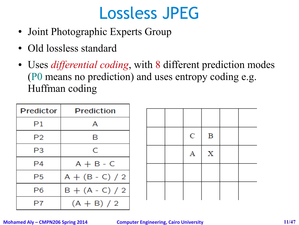## Lossless JPEG

- Joint Photographic Experts Group
- Old lossless standard
- Uses *differential coding*, with 8 different prediction modes (P0 means no prediction) and uses entropy coding e.g. Huffman coding

| Predictor | Prediction        |
|-----------|-------------------|
| Ρ1        | А                 |
| P2        | В                 |
| P3        | C                 |
| P4        | $A + B - C$       |
| P5        | $A + (B - C) / 2$ |
| P6        | $B + (A - C) / 2$ |
| P7        | $(A + B) / 2$     |

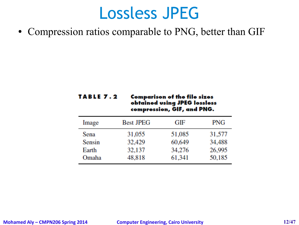#### Lossless JPEG

• Compression ratios comparable to PNG, better than GIF

| TABLE 7.2 | <b>Comparison of the file sizes</b> |
|-----------|-------------------------------------|
|           | obtained using JPEG lossless        |
|           | compression, GIF, and PNG.          |

| Image  | <b>Best JPEG</b> | GIF    | PNG    |
|--------|------------------|--------|--------|
| Sena   | 31,055           | 51,085 | 31,577 |
| Sensin | 32,429           | 60,649 | 34,488 |
| Earth  | 32,137           | 34,276 | 26,995 |
| Omaha  | 48,818           | 61,341 | 50,185 |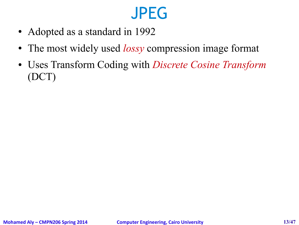## JPEG

- Adopted as a standard in 1992
- The most widely used *lossy* compression image format
- Uses Transform Coding with *Discrete Cosine Transform* (DCT)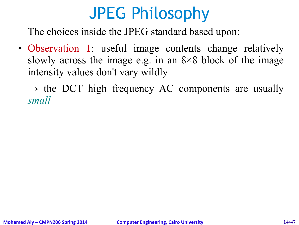## JPEG Philosophy

The choices inside the JPEG standard based upon:

- Observation 1: useful image contents change relatively slowly across the image e.g. in an  $8\times8$  block of the image intensity values don't vary wildly
	- $\rightarrow$  the DCT high frequency AC components are usually *small*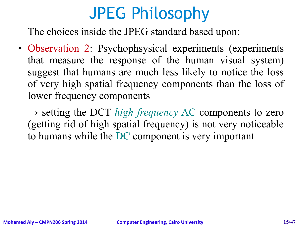## JPEG Philosophy

The choices inside the JPEG standard based upon:

• Observation 2: Psychophsysical experiments (experiments that measure the response of the human visual system) suggest that humans are much less likely to notice the loss of very high spatial frequency components than the loss of lower frequency components

→ setting the DCT *high frequency* AC components to zero (getting rid of high spatial frequency) is not very noticeable to humans while the DC component is very important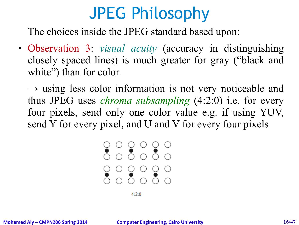## JPEG Philosophy

The choices inside the JPEG standard based upon:

- Observation 3: *visual acuity* (accuracy in distinguishing closely spaced lines) is much greater for gray ("black and white") than for color.
	- $\rightarrow$  using less color information is not very noticeable and thus JPEG uses *chroma subsampling* (4:2:0) i.e. for every four pixels, send only one color value e.g. if using YUV, send Y for every pixel, and U and V for every four pixels

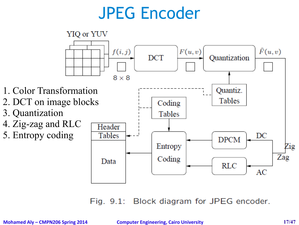## JPEG Encoder



Fig. 9.1: Block diagram for JPEG encoder.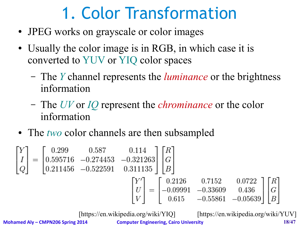## 1. Color Transformation

- JPEG works on grayscale or color images
- Usually the color image is in RGB, in which case it is converted to YUV or YIQ color spaces
	- The *Y* channel represents the *luminance* or the brightness information
	- The *UV* or *IQ* represent the *chrominance* or the color information
- The *two* color channels are then subsampled

$$
\begin{bmatrix} Y \ I \ Q \end{bmatrix} = \begin{bmatrix} 0.299 & 0.587 & 0.114 \ 0.595716 & -0.274453 & -0.321263 \ 0.211456 & -0.522591 & 0.311135 \end{bmatrix} \begin{bmatrix} R \ G \ B \end{bmatrix}
$$

$$
\begin{bmatrix} Y' \ U \ V \end{bmatrix} = \begin{bmatrix} 0.2126 & 0.7152 & 0.0722 \ -0.09991 & -0.33609 & 0.436 \ 0.615 & -0.55861 & -0.05639 \end{bmatrix} \begin{bmatrix} R \ G \ B \end{bmatrix}
$$

[https://en.wikipedia.org/wiki/YIQ] [https://en.wikipedia.org/wiki/YUV]

**Mohamed Aly – CMPN206 Spring 2014 Computer Engineering, Cairo University 18/47**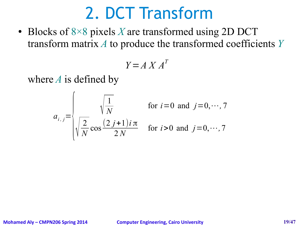#### 2. DCT Transform

• Blocks of 8×8 pixels *X* are transformed using 2D DCT transform matrix *A* to produce the transformed coefficients *Y*

$$
Y = A X A^T
$$

where *A* is defined by

$$
a_{i,j} = \begin{cases} \n\sqrt{\frac{1}{N}} & \text{for } i = 0 \text{ and } j = 0, \cdots, 7 \\
\sqrt{\frac{2}{N}} \cos \frac{(2j+1)i\pi}{2N} & \text{for } i > 0 \text{ and } j = 0, \cdots, 7\n\end{cases}
$$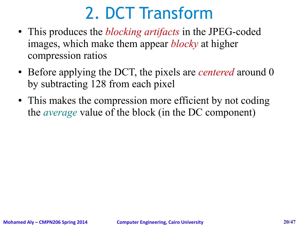## 2. DCT Transform

- This produces the *blocking artifacts* in the JPEG-coded images, which make them appear *blocky* at higher compression ratios
- Before applying the DCT, the pixels are *centered* around 0 by subtracting 128 from each pixel
- This makes the compression more efficient by not coding the *average* value of the block (in the DC component)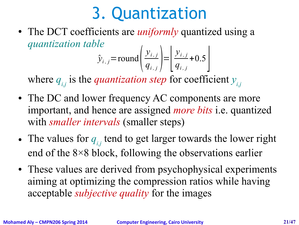## 3. Quantization

• The DCT coefficients are *uniformly* quantized using a *quantization table*

$$
\hat{y}_{i,j} = \text{round}\left(\frac{y_{i,j}}{q_{i,j}}\right) = \left[\frac{y_{i,j}}{q_{i,j}} + 0.5\right]
$$

where  $q_{i,j}$  is the *quantization step* for coefficient  $y_{i,j}$ 

- The DC and lower frequency AC components are more important, and hence are assigned *more bits* i.e. quantized with *smaller intervals* (smaller steps)
- The values for  $q_{i,j}$  tend to get larger towards the lower right end of the 8×8 block, following the observations earlier
- These values are derived from psychophysical experiments aiming at optimizing the compression ratios while having acceptable *subjective quality* for the images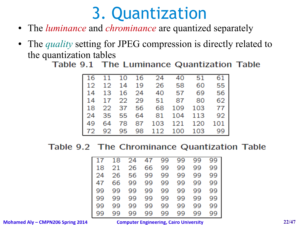## 3. Quantization

- The *luminance* and *chrominance* are quantized separately
- The *quality* setting for JPEG compression is directly related to the quantization tables

Table 9.1 The Luminance Quantization Table

|  |  | 16 11 10 16 24 40 51 61     |  |  |
|--|--|-----------------------------|--|--|
|  |  | 12 12 14 19 26 58 60 55     |  |  |
|  |  | 14 13 16 24 40 57 69 56     |  |  |
|  |  | 14 17 22 29 51 87 80 62     |  |  |
|  |  | 18 22 37 56 68 109 103 77   |  |  |
|  |  | 24 35 55 64 81 104 113 92   |  |  |
|  |  | 49 64 78 87 103 121 120 101 |  |  |
|  |  | 72 92 95 98 112 100 103 99  |  |  |

Table 9.2 The Chrominance Quantization Table

| 17 | 18 | 24 | 47 | 99 | 99 | 99 | 99 |
|----|----|----|----|----|----|----|----|
| 18 | 21 | 26 | 66 | 99 | 99 | 99 | 99 |
| 24 | 26 | 56 | 99 | 99 | 99 | 99 | 99 |
| 47 | 66 | 99 | 99 | 99 | 99 | 99 | 99 |
| 99 | 99 | 99 | 99 | 99 | 99 | gg | 99 |
| 99 | 99 | 99 | 99 | 99 | 99 | 99 | gg |
| 99 | 99 | 99 | 99 | 99 | 99 | 99 | 99 |
| gg | gg | 99 | 99 | 99 | 99 | 99 | 99 |

**Mohamed Aly – CMPN206 Spring 2014 Computer Engineering, Cairo University 22/47**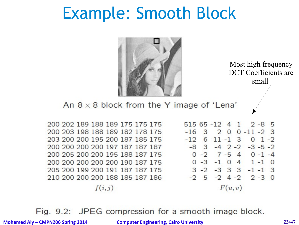#### Example: Smooth Block



Most high frequency DCT Coefficients are small

An  $8 \times 8$  block from the Y image of 'Lena'

200 202 189 188 189 175 175 175 200 203 198 188 189 182 178 175 203 200 200 195 200 187 185 175 200 200 200 200 197 187 187 187 200 205 200 200 195 188 187 175 200 200 200 200 200 190 187 175 205 200 199 200 191 187 187 175 210 200 200 200 188 185 187 186  $f(i, j)$ 

 $51565 - 1241$  $2 - 8$  5  $-16$  3 2 0 0  $-11$   $-2$  3  $-12$  6 11 -1 3  $0 \t1 - 2$  $-8$  3  $-4$  2  $-2$   $-3$   $-5$   $-2$  $0 - 2$  7 - 5 4 0 - 1 - 4  $0 - 3 - 1$  0 4 1 -1 0  $3 - 2 - 3$  3 3  $-1$   $-1$  3  $-2$  5  $-2$  4  $-2$  2  $-3$  0  $F(u, v)$ 

Fig. 9.2: JPEG compression for a smooth image block.

**Mohamed Aly – CMPN206 Spring 2014 Computer Engineering, Cairo University 23/47**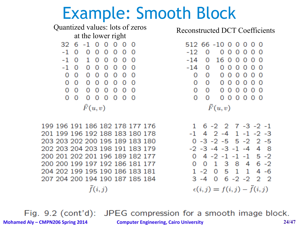#### Example: Smooth Block

Quantized values: lots of zeros at the lower right 32 6 -1 0 0 0 0 0  $-1$  0  $000000$  $-10100000$  $-1$  0 0 0 0 0 0  $\Omega$  $0\quad 0\quad 0\quad 0\quad 0\quad 0\quad 0$  $00000000$  $0\quad 0\quad 0\quad 0\quad 0\quad 0\quad 0$  $0\quad 0\quad 0\quad 0\quad 0\quad 0\quad 0$  $\widehat{F}(u,v)$ 

199 196 191 186 182 178 177 176 201 199 196 192 188 183 180 178 203 203 202 200 195 189 183 180 202 203 204 203 198 191 183 179 200 201 202 201 196 189 182 177 200 200 199 197 192 186 181 177 204 202 199 195 190 186 183 181 207 204 200 194 190 187 185 184  $\tilde{f}(i,j)$ 

Reconstructed DCT Coefficients

```
512 66 -10 0 0 0 0 0
-12O
        000000-14O
       1600000
-14 0
      0000000\Omega0000000\Omega\Omega00000000000000\overline{O}\Omega000000\Omega\tilde{F}(u,v)
```
 $1 \t6 - 2 \t2 \t7 - 3 \t-2 \t-1$  $-1$  4 2 -4 1 -1 -2 -3  $0 - 3 - 2 - 5$  5 - 2 2 - 5  $-2$   $-3$   $-4$   $-3$   $-1$   $-4$  4 8  $0$  4 -2 -1 -1 -1 5 -2 0 0 1 3 8 4 6 -2  $1 - 2$  0 5 1 1 4 -6  $3 - 4$  0 6 -2 -2 2 2  $\epsilon(i,j) = f(i,j) - \tilde{f}(i,j)$ 

Fig. 9.2 (cont'd): JPEG compression for a smooth image block. **Mohamed Aly – CMPN206 Spring 2014 Computer Engineering, Cairo University 24/47**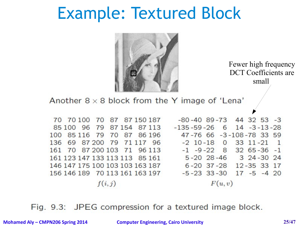#### Example: Textured Block



Fewer high frequency DCT Coefficients are small

Another  $8 \times 8$  block from the Y image of 'Lena'  $-80 - 408 - 73$ 44 32 53 -3 70 70 100 70 87 87 150 187 85 100 96 79 87 154 87 113  $-135 - 59 - 26 = 6$  $14 - 3 - 13 - 28$ 47-76 66 -3-108-78 33 59 100 85 116 79 70 87 86 196 69 87 200  $-2$  10 $-18$  0 33 11 $-21$ 136 79 71 117 96 161 70 87 200 103 71 96 113  $-1$   $-9$   $-22$  8 32 65 -36 -1 161 123 147 133 113 113 85 161 5-20 28-46 3 24-30 24 146 147 175 100 103 103 163 187 6-20 37-28 12-35 33 17 156 146 189 70 113 161 163 197  $-5 - 23$  33 - 30 17 - 5 - 4 20  $F(u, v)$  $f(i, j)$ 

Fig. 9.3: JPEG compression for a textured image block.

**Mohamed Aly – CMPN206 Spring 2014 Computer Engineering, Cairo University 25/47**

 $\mathbf{1}$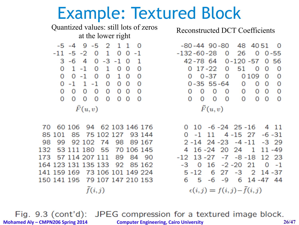#### Example: Textured Block

 $\Omega$ 

56

0

0

0

0

 $\Omega$ 

 $0 - 55$ 

 $\Omega$ 

 $\Omega$ 

 $\Omega$ 

 $-3$  29

12 23

 $0 - 1$ 

 $\Omega$ 

 $\overline{\mathbf{0}}$ 

0109 0

26

51

Quantized values: still lots of zeros Reconstructed DCT Coefficientsat the lower right  $-5 - 4$  9  $-5$ 2 1 1  $-80 - 44$  90 $-80$  48 4051  $\Omega$  $-11 - 5 - 2 = 0$  $\mathbf{1}$ O  $0 - 1$  $-132 - 60 - 28$ O  $3 - 6$  4 0  $-3$   $-1$  0 42-78 64  $0 - 120 - 57$ 1  $0 \t17 - 22$  $0 \t1 - 1 \t0 \t1$  $0<sub>0</sub>$ 0 O 0 0 -1 0 0 1 0  $0 \quad 0 - 37$  $\overline{0}$  $\Omega$  $0 -1$  1 -1 0 0 0 0  $0 - 35 55 - 64 0 00$  $0\quad 0\quad 0\quad 0\quad 0\quad 0\quad 0$  $0\quad 0\quad 0\quad 0$  $0\quad 0\quad 0$  $0\quad 0\quad 0\quad 0\quad 0\quad 0\quad 0$  $0\quad 0\quad 0\quad 0\quad 0\quad 0$  $\widehat{F}(u,v)$  $\tilde{F}(u,v)$ 70 60 106 94 62 103 146 176  $0$  10 -6 -24 25 -16 4 11 85 101 85 75 102 127  $0 -1$  11 4 -15 27 -6 -31 93 144 98 99 92 102 74 98 89 167  $2 - 14$  24  $-23$   $-4$   $-11$ 132 53 111 180 55 70 106 145 4 16 -24 20 24 1 11 -49 57 114 207 111  $-12$  13  $-27$   $-7$   $-8$   $-18$ 89 84 90 173 164 123 131 135 133 92 85 162  $-3$  0 16  $-2$   $-20$  21 141 159 169 73 106 101 149 224 5 -12 6 27 -3 2 14 -37 150 141 195 79 107 147 210 153 6 5 -6 -9 6 14 -47 44  $\tilde{f}(i,j)$  $\epsilon(i,j) = f(i,j) - \tilde{f}(i,j)$ 

Fig. 9.3 (cont'd): JPEG compression for a textured image block. **Mohamed Aly – CMPN206 Spring 2014 Computer Engineering, Cairo University 26/47**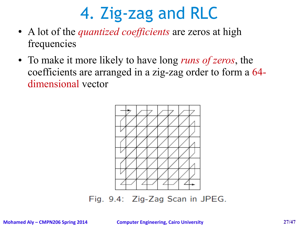## 4. Zig-zag and RLC

- A lot of the *quantized coefficients* are zeros at high frequencies
- To make it more likely to have long *runs of zeros*, the coefficients are arranged in a zig-zag order to form a 64 dimensional vector



Fig. 9.4: Zig-Zag Scan in JPEG.

**Mohamed Aly – CMPN206 Spring 2014 Computer Engineering, Cairo University 27/47**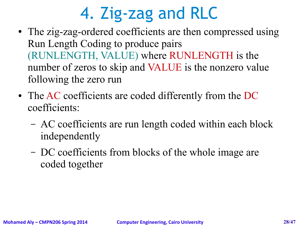# 4. Zig-zag and RLC

- The zig-zag-ordered coefficients are then compressed using Run Length Coding to produce pairs (RUNLENGTH, VALUE) where RUNLENGTH is the number of zeros to skip and VALUE is the nonzero value following the zero run
- The AC coefficients are coded differently from the DC coefficients:
	- AC coefficients are run length coded within each block independently
	- DC coefficients from blocks of the whole image are coded together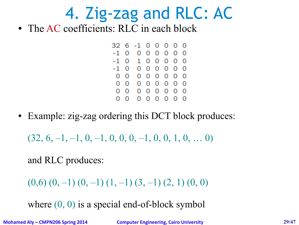## 4. Zig-zag and RLC: AC

• The AC coefficients: RLC in each block

 $326 - 100000$  $-10000000$  $-10100000$  $-1$  0 0 0 0 0 0 0  $0\quad 0\quad 0\quad 0\quad 0\quad 0\quad 0\quad 0$  $0\quad 0\quad 0\quad 0\quad 0\quad 0\quad 0\quad 0$  $0\quad 0\quad 0\quad 0\quad 0\quad 0\quad 0\quad 0$  $0\quad 0\quad 0\quad 0\quad 0\quad 0\quad 0\quad 0$ 

• Example: zig-zag ordering this DCT block produces:

 $(32, 6, -1, -1, 0, -1, 0, 0, 0, -1, 0, 0, 1, 0, \ldots 0)$ 

and RLC produces:

```
(0,6) (0,-1) (0,-1) (1,-1) (3,-1) (2,1) (0,0)
```
where  $(0, 0)$  is a special end-of-block symbol

**Mohamed Aly – CMPN206 Spring 2014 Computer Engineering, Cairo University 29/47**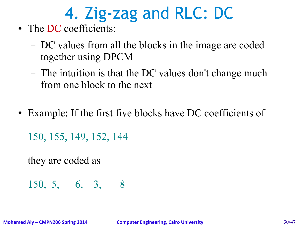# 4. Zig-zag and RLC: DC

- The DC coefficients:
	- DC values from all the blocks in the image are coded together using DPCM
	- The intuition is that the DC values don't change much from one block to the next
- Example: If the first five blocks have DC coefficients of

150, 155, 149, 152, 144

they are coded as

150, 5, –6, 3, –8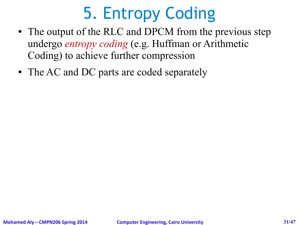## 5. Entropy Coding

- The output of the RLC and DPCM from the previous step undergo *entropy coding* (e.g. Huffman or Arithmetic Coding) to achieve further compression
- The AC and DC parts are coded separately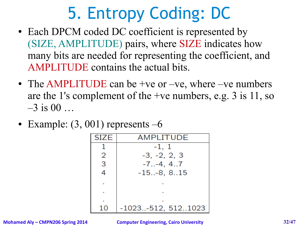## 5. Entropy Coding: DC

- Each DPCM coded DC coefficient is represented by (SIZE, AMPLITUDE) pairs, where SIZE indicates how many bits are needed for representing the coefficient, and AMPLITUDE contains the actual bits.
- The AMPLITUDE can be +ve or –ve, where –ve numbers are the 1's complement of the +ve numbers, e.g. 3 is 11, so  $-3$  is 00 …
- Example:  $(3, 001)$  represents  $-6$

| <b>SIZE</b> | AMPLITUDE            |
|-------------|----------------------|
|             | $-1, 1$              |
| 2           | $-3, -2, 2, 3$       |
| 3           | $-7. -4, 4.7$        |
|             | $-15-8, 815$         |
|             |                      |
|             |                      |
|             |                      |
| 10          | $-1023-512, 5121023$ |

**Mohamed Aly – CMPN206 Spring 2014 Computer Engineering, Cairo University 32/47**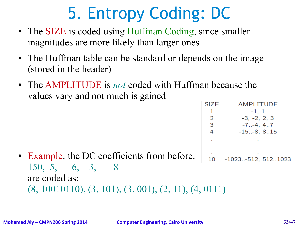## 5. Entropy Coding: DC

- The SIZE is coded using Huffman Coding, since smaller magnitudes are more likely than larger ones
- The Huffman table can be standard or depends on the image (stored in the header)
- The AMPLITUDE is *not* coded with Huffman because the values vary and not much is gained

| <b>SIZE</b> | AMPLITUDE          |
|-------------|--------------------|
|             | -1, 1              |
| 2           | $-3, -2, 2, 3$     |
| 3           | $-7. -4, 4.7$      |
| 4           | $-15-8, 815$       |
|             |                    |
|             |                    |
|             |                    |
| 10          | -1023-512, 5121023 |

• Example: the DC coefficients from before: 150, 5, –6, 3, –8 are coded as: (8, 10010110), (3, 101), (3, 001), (2, 11), (4, 0111)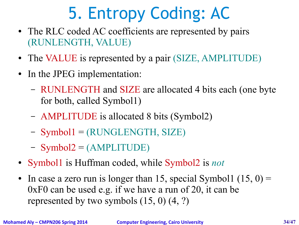## 5. Entropy Coding: AC

- The RLC coded AC coefficients are represented by pairs (RUNLENGTH, VALUE)
- The VALUE is represented by a pair (SIZE, AMPLITUDE)
- In the JPEG implementation:
	- RUNLENGTH and SIZE are allocated 4 bits each (one byte for both, called Symbol1)
	- AMPLITUDE is allocated 8 bits (Symbol2)
	- Symbol1 = (RUNGLENGTH, SIZE)
	- $-$  Symbol2 = (AMPLITUDE)
- Symbol1 is Huffman coded, while Symbol2 is *not*
- In case a zero run is longer than 15, special Symbol1  $(15, 0)$  = 0xF0 can be used e.g. if we have a run of 20, it can be represented by two symbols (15, 0) (4, ?)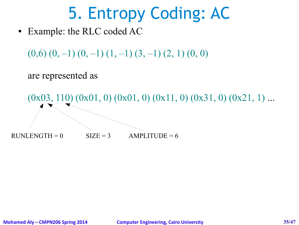## 5. Entropy Coding: AC

• Example: the RLC coded AC

 $(0,6)$   $(0,-1)$   $(0,-1)$   $(1,-1)$   $(3,-1)$   $(2,1)$   $(0,0)$ 

are represented as

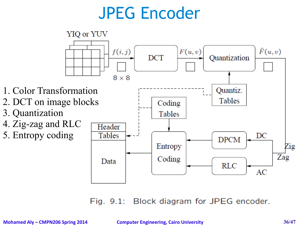## JPEG Encoder



Fig. 9.1: Block diagram for JPEG encoder.

**Mohamed Aly – CMPN206 Spring 2014 Computer Engineering, Cairo University 36/47**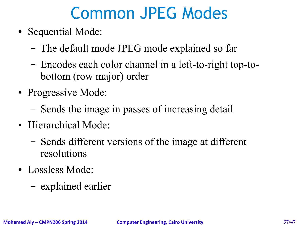## Common JPEG Modes

- Sequential Mode:
	- The default mode JPEG mode explained so far
	- Encodes each color channel in a left-to-right top-tobottom (row major) order
- Progressive Mode:
	- Sends the image in passes of increasing detail
- Hierarchical Mode:
	- Sends different versions of the image at different resolutions
- Lossless Mode:
	- explained earlier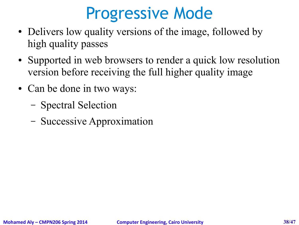## Progressive Mode

- Delivers low quality versions of the image, followed by high quality passes
- Supported in web browsers to render a quick low resolution version before receiving the full higher quality image
- Can be done in two ways:
	- Spectral Selection
	- Successive Approximation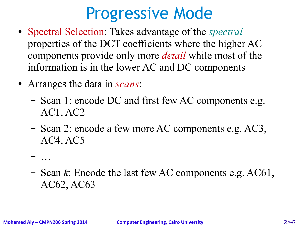## Progressive Mode

- Spectral Selection: Takes advantage of the *spectral* properties of the DCT coefficients where the higher AC components provide only more *detail* while most of the information is in the lower AC and DC components
- Arranges the data in *scans*:
	- Scan 1: encode DC and first few AC components e.g. AC1, AC2
	- Scan 2: encode a few more AC components e.g. AC3, AC4, AC5
	- …
	- Scan *k*: Encode the last few AC components e.g. AC61, AC62, AC63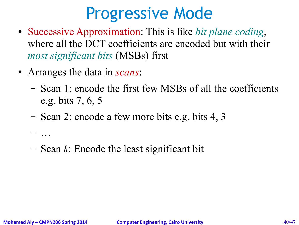## Progressive Mode

- Successive Approximation: This is like *bit plane coding*, where all the DCT coefficients are encoded but with their *most significant bits* (MSBs) first
- Arranges the data in *scans*:
	- Scan 1: encode the first few MSBs of all the coefficients e.g. bits 7, 6, 5
	- Scan 2: encode a few more bits e.g. bits 4, 3
	- Scan *k*: Encode the least significant bit

– …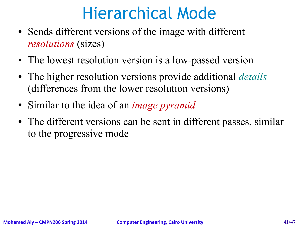## Hierarchical Mode

- Sends different versions of the image with different *resolutions* (sizes)
- The lowest resolution version is a low-passed version
- The higher resolution versions provide additional *details* (differences from the lower resolution versions)
- Similar to the idea of an *image pyramid*
- The different versions can be sent in different passes, similar to the progressive mode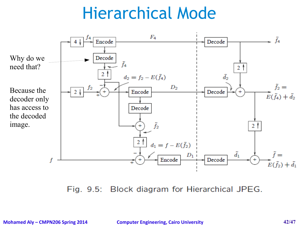## Hierarchical Mode



Block diagram for Hierarchical JPEG. Fig. 9.5:

**Mohamed Aly – CMPN206 Spring 2014 Computer Engineering, Cairo University 42/47**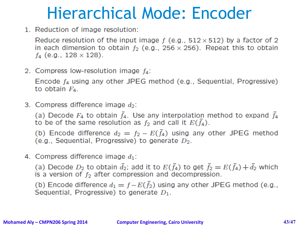## Hierarchical Mode: Encoder

1. Reduction of image resolution:

Reduce resolution of the input image  $f$  (e.g.,  $512 \times 512$ ) by a factor of 2 in each dimension to obtain  $f_2$  (e.g., 256  $\times$  256). Repeat this to obtain  $f_4$  (e.g., 128  $\times$  128).

2. Compress low-resolution image  $f_4$ :

Encode  $f_4$  using any other JPEG method (e.g., Sequential, Progressive) to obtain  $F_4$ .

3. Compress difference image  $d_2$ :

(a) Decode  $F_4$  to obtain  $\tilde{f}_4$ . Use any interpolation method to expand  $\tilde{f}_4$ to be of the same resolution as  $f_2$  and call it  $E(\tilde{f}_4)$ .

(b) Encode difference  $d_2 = f_2 - E(\tilde{f}_4)$  using any other JPEG method (e.g., Sequential, Progressive) to generate  $D_2$ .

4. Compress difference image  $d_1$ :

(a) Decode  $D_2$  to obtain  $\tilde{d}_2$ ; add it to  $E(\tilde{f}_4)$  to get  $\tilde{f}_2 = E(\tilde{f}_4) + \tilde{d}_2$  which is a version of  $f_2$  after compression and decompression.

(b) Encode difference  $d_1 = f - E(\tilde{f}_2)$  using any other JPEG method (e.g., Sequential, Progressive) to generate  $D_1$ .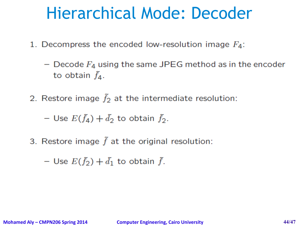#### Hierarchical Mode: Decoder

1. Decompress the encoded low-resolution image  $F_4$ :

- Decode  $F_4$  using the same JPEG method as in the encoder to obtain  $\tilde{f}_4$ .
- 2. Restore image  $\tilde{f}_2$  at the intermediate resolution:

- Use  $E(\tilde{f}_4) + \tilde{d}_2$  to obtain  $\tilde{f}_2$ .

3. Restore image  $\tilde{f}$  at the original resolution:

- Use  $E(\tilde{f}_2) + \tilde{d}_1$  to obtain  $\tilde{f}$ .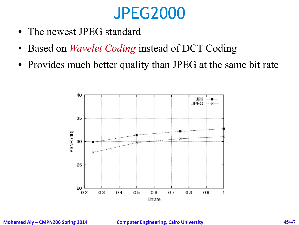## JPEG2000

- The newest JPEG standard
- Based on *Wavelet Coding* instead of DCT Coding
- Provides much better quality than JPEG at the same bit rate

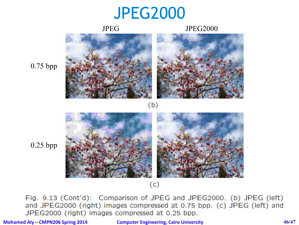#### JPEG2000

#### JPEG JPEG2000



0.75 bpp



0.25 bpp

 $(c)$ 

Fig. 9.13 (Cont'd): Comparison of JPEG and JPEG2000. (b) JPEG (left) and JPEG2000 (right) images compressed at 0.75 bpp. (c) JPEG (left) and JPEG2000 (right) images compressed at 0.25 bpp.

**Mohamed Aly – CMPN206 Spring 2014 Computer Engineering, Cairo University 46/47**